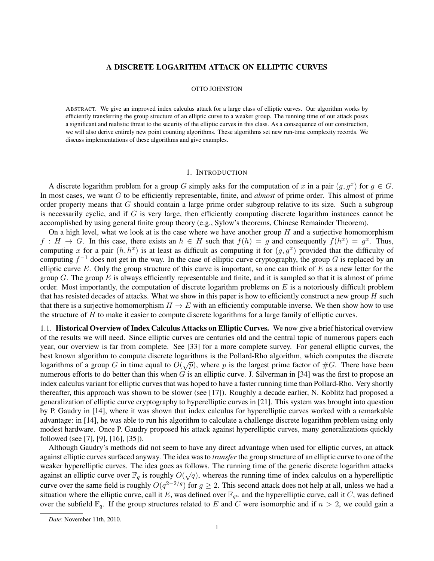## A DISCRETE LOGARITHM ATTACK ON ELLIPTIC CURVES

### OTTO JOHNSTON

ABSTRACT. We give an improved index calculus attack for a large class of elliptic curves. Our algorithm works by efficiently transferring the group structure of an elliptic curve to a weaker group. The running time of our attack poses a significant and realistic threat to the security of the elliptic curves in this class. As a consequence of our construction, we will also derive entirely new point counting algorithms. These algorithms set new run-time complexity records. We discuss implementations of these algorithms and give examples.

### 1. INTRODUCTION

A discrete logarithm problem for a group G simply asks for the computation of x in a pair  $(g, g^x)$  for  $g \in G$ . In most cases, we want G to be efficiently representable, finite, and *almost* of prime order. This almost of prime order property means that G should contain a large prime order subgroup relative to its size. Such a subgroup is necessarily cyclic, and if  $G$  is very large, then efficiently computing discrete logarithm instances cannot be accomplished by using general finite group theory (e.g., Sylow's theorems, Chinese Remainder Theorem).

On a high level, what we look at is the case where we have another group  $H$  and a surjective homomorphism  $f: H \to G$ . In this case, there exists an  $h \in H$  such that  $f(h) = g$  and consequently  $f(h^x) = g^x$ . Thus, computing x for a pair  $(h, h^x)$  is at least as difficult as computing it for  $(g, g^x)$  provided that the difficulty of computing  $f^{-1}$  does not get in the way. In the case of elliptic curve cryptography, the group G is replaced by an elliptic curve E. Only the group structure of this curve is important, so one can think of  $E$  as a new letter for the group G. The group E is always efficiently representable and finite, and it is sampled so that it is almost of prime order. Most importantly, the computation of discrete logarithm problems on  $E$  is a notoriously difficult problem that has resisted decades of attacks. What we show in this paper is how to efficiently construct a new group  $H$  such that there is a surjective homomorphism  $H \to E$  with an efficiently computable inverse. We then show how to use the structure of  $H$  to make it easier to compute discrete logarithms for a large family of elliptic curves.

1.1. Historical Overview of Index Calculus Attacks on Elliptic Curves. We now give a brief historical overview of the results we will need. Since elliptic curves are centuries old and the central topic of numerous papers each year, our overview is far from complete. See [33] for a more complete survey. For general elliptic curves, the best known algorithm to compute discrete logarithms is the Pollard-Rho algorithm, which computes the discrete logarithms of a group G in time equal to  $O(\sqrt{p})$ , where p is the largest prime factor of #G. There have been numerous efforts to do better than this when  $G$  is an elliptic curve. J. Silverman in [34] was the first to propose an index calculus variant for elliptic curves that was hoped to have a faster running time than Pollard-Rho. Very shortly thereafter, this approach was shown to be slower (see [17]). Roughly a decade earlier, N. Koblitz had proposed a generalization of elliptic curve cryptography to hyperelliptic curves in [21]. This system was brought into question by P. Gaudry in [14], where it was shown that index calculus for hyperelliptic curves worked with a remarkable advantage: in [14], he was able to run his algorithm to calculate a challenge discrete logarithm problem using only modest hardware. Once P. Gaudry proposed his attack against hyperelliptic curves, many generalizations quickly followed (see [7], [9], [16], [35]).

Although Gaudry's methods did not seem to have any direct advantage when used for elliptic curves, an attack against elliptic curves surfaced anyway. The idea was to *transfer* the group structure of an elliptic curve to one of the weaker hyperelliptic curves. The idea goes as follows. The running time of the generic discrete logarithm attacks against an elliptic curve over  $\mathbb{F}_q$  is roughly  $O(\sqrt{q})$ , whereas the running time of index calculus on a hyperelliptic curve over the same field is roughly  $O(q^{2-2/g})$  for  $g \ge 2$ . This second attack does not help at all, unless we had a situation where the elliptic curve, call it E, was defined over  $\mathbb{F}_{q^n}$  and the hyperelliptic curve, call it C, was defined over the subfield  $\mathbb{F}_q$ . If the group structures related to E and C were isomorphic and if  $n > 2$ , we could gain a

*Date*: November 11th, 2010.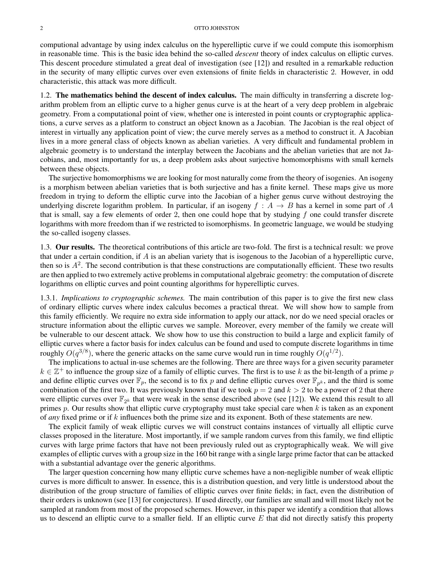computional advantage by using index calculus on the hyperelliptic curve if we could compute this isomorphism in reasonable time. This is the basic idea behind the so-called *descent* theory of index calculus on elliptic curves. This descent procedure stimulated a great deal of investigation (see [12]) and resulted in a remarkable reduction in the security of many elliptic curves over even extensions of finite fields in characteristic 2. However, in odd characteristic, this attack was more difficult.

1.2. The mathematics behind the descent of index calculus. The main difficulty in transferring a discrete logarithm problem from an elliptic curve to a higher genus curve is at the heart of a very deep problem in algebraic geometry. From a computational point of view, whether one is interested in point counts or cryptographic applications, a curve serves as a platform to construct an object known as a Jacobian. The Jacobian is the real object of interest in virtually any application point of view; the curve merely serves as a method to construct it. A Jacobian lives in a more general class of objects known as abelian varieties. A very difficult and fundamental problem in algebraic geometry is to understand the interplay between the Jacobians and the abelian varieties that are not Jacobians, and, most importantly for us, a deep problem asks about surjective homomorphisms with small kernels between these objects.

The surjective homomorphisms we are looking for most naturally come from the theory of isogenies. An isogeny is a morphism between abelian varieties that is both surjective and has a finite kernel. These maps give us more freedom in trying to deform the elliptic curve into the Jacobian of a higher genus curve without destroying the underlying discrete logarithm problem. In particular, if an isogeny  $f : A \rightarrow B$  has a kernel in some part of A that is small, say a few elements of order 2, then one could hope that by studying  $f$  one could transfer discrete logarithms with more freedom than if we restricted to isomorphisms. In geometric language, we would be studying the so-called isogeny classes.

1.3. Our results. The theoretical contributions of this article are two-fold. The first is a technical result: we prove that under a certain condition, if  $A$  is an abelian variety that is isogenous to the Jacobian of a hyperelliptic curve, then so is  $A^2$ . The second contribution is that these constructions are computationally efficient. These two results are then applied to two extremely active problems in computational algebraic geometry: the computation of discrete logarithms on elliptic curves and point counting algorithms for hyperelliptic curves.

1.3.1. *Implications to cryptographic schemes.* The main contribution of this paper is to give the first new class of ordinary elliptic curves where index calculus becomes a practical threat. We will show how to sample from this family efficiently. We require no extra side information to apply our attack, nor do we need special oracles or structure information about the elliptic curves we sample. Moreover, every member of the family we create will be vulnerable to our descent attack. We show how to use this construction to build a large and explicit family of elliptic curves where a factor basis for index calculus can be found and used to compute discrete logarithms in time roughly  $O(q^{3/8})$ , where the generic attacks on the same curve would run in time roughly  $O(q^{1/2})$ .

The implications to actual in-use schemes are the following. There are three ways for a given security parameter  $k \in \mathbb{Z}^+$  to influence the group size of a family of elliptic curves. The first is to use k as the bit-length of a prime p and define elliptic curves over  $\mathbb{F}_p$ , the second is to fix p and define elliptic curves over  $\mathbb{F}_{p^k}$ , and the third is some combination of the first two. It was previously known that if we took  $p = 2$  and  $k > 2$  to be a power of 2 that there were elliptic curves over  $\mathbb{F}_{2^k}$  that were weak in the sense described above (see [12]). We extend this result to all primes  $p$ . Our results show that elliptic curve cryptography must take special care when  $k$  is taken as an exponent of *any* fixed prime or if k influences both the prime size and its exponent. Both of these statements are new.

The explicit family of weak elliptic curves we will construct contains instances of virtually all elliptic curve classes proposed in the literature. Most importantly, if we sample random curves from this family, we find elliptic curves with large prime factors that have not been previously ruled out as cryptographically weak. We will give examples of elliptic curves with a group size in the 160 bit range with a single large prime factor that can be attacked with a substantial advantage over the generic algorithms.

The larger question concerning how many elliptic curve schemes have a non-negligible number of weak elliptic curves is more difficult to answer. In essence, this is a distribution question, and very little is understood about the distribution of the group structure of families of elliptic curves over finite fields; in fact, even the distribution of their orders is unknown (see [13] for conjectures). If used directly, our families are small and will most likely not be sampled at random from most of the proposed schemes. However, in this paper we identify a condition that allows us to descend an elliptic curve to a smaller field. If an elliptic curve  $E$  that did not directly satisfy this property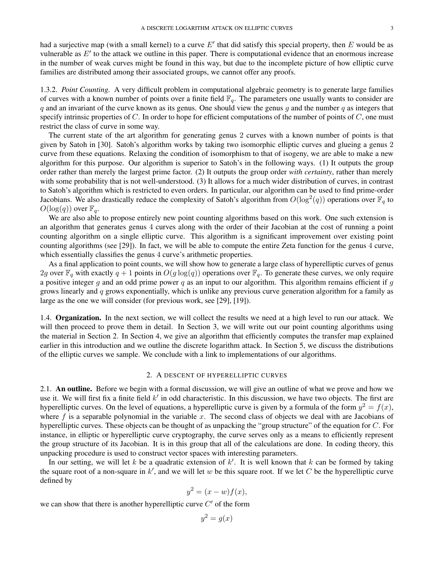had a surjective map (with a small kernel) to a curve  $E'$  that did satisfy this special property, then  $E$  would be as vulnerable as  $E'$  to the attack we outline in this paper. There is computational evidence that an enormous increase in the number of weak curves might be found in this way, but due to the incomplete picture of how elliptic curve families are distributed among their associated groups, we cannot offer any proofs.

1.3.2. *Point Counting.* A very difficult problem in computational algebraic geometry is to generate large families of curves with a known number of points over a finite field  $\mathbb{F}_q$ . The parameters one usually wants to consider are q and an invariant of the curve known as its genus. One should view the genus q and the number q as integers that specify intrinsic properties of  $C$ . In order to hope for efficient computations of the number of points of  $C$ , one must restrict the class of curve in some way.

The current state of the art algorithm for generating genus 2 curves with a known number of points is that given by Satoh in [30]. Satoh's algorithm works by taking two isomorphic elliptic curves and glueing a genus 2 curve from these equations. Relaxing the condition of isomorphism to that of isogeny, we are able to make a new algorithm for this purpose. Our algorithm is superior to Satoh's in the following ways. (1) It outputs the group order rather than merely the largest prime factor. (2) It outputs the group order *with certainty*, rather than merely with some probability that is not well-understood. (3) It allows for a much wider distribution of curves, in contrast to Satoh's algorithm which is restricted to even orders. In particular, our algorithm can be used to find prime-order Jacobians. We also drastically reduce the complexity of Satoh's algorithm from  $O(\log^2(q))$  operations over  $\mathbb{F}_q$  to  $O(\log(q))$  over  $\mathbb{F}_q$ .

We are also able to propose entirely new point counting algorithms based on this work. One such extension is an algorithm that generates genus 4 curves along with the order of their Jacobian at the cost of running a point counting algorithm on a single elliptic curve. This algorithm is a significant improvement over existing point counting algorithms (see [29]). In fact, we will be able to compute the entire Zeta function for the genus 4 curve, which essentially classifies the genus 4 curve's arithmetic properties.

As a final application to point counts, we will show how to generate a large class of hyperelliptic curves of genus 2g over  $\mathbb{F}_q$  with exactly  $q + 1$  points in  $O(g \log(q))$  operations over  $\mathbb{F}_q$ . To generate these curves, we only require a positive integer g and an odd prime power q as an input to our algorithm. This algorithm remains efficient if g grows linearly and  $q$  grows exponentially, which is unlike any previous curve generation algorithm for a family as large as the one we will consider (for previous work, see [29], [19]).

1.4. **Organization.** In the next section, we will collect the results we need at a high level to run our attack. We will then proceed to prove them in detail. In Section 3, we will write out our point counting algorithms using the material in Section 2. In Section 4, we give an algorithm that efficiently computes the transfer map explained earlier in this introduction and we outline the discrete logarithm attack. In Section 5, we discuss the distributions of the elliptic curves we sample. We conclude with a link to implementations of our algorithms.

#### 2. A DESCENT OF HYPERELLIPTIC CURVES

2.1. An outline. Before we begin with a formal discussion, we will give an outline of what we prove and how we use it. We will first fix a finite field  $k'$  in odd characteristic. In this discussion, we have two objects. The first are hyperelliptic curves. On the level of equations, a hyperelliptic curve is given by a formula of the form  $y^2 = f(x)$ , where  $f$  is a separable polynomial in the variable x. The second class of objects we deal with are Jacobians of hyperelliptic curves. These objects can be thought of as unpacking the "group structure" of the equation for C. For instance, in elliptic or hyperelliptic curve cryptography, the curve serves only as a means to efficiently represent the group structure of its Jacobian. It is in this group that all of the calculations are done. In coding theory, this unpacking procedure is used to construct vector spaces with interesting parameters.

In our setting, we will let k be a quadratic extension of  $k'$ . It is well known that k can be formed by taking the square root of a non-square in  $k'$ , and we will let w be this square root. If we let C be the hyperelliptic curve defined by

$$
y^2 = (x - w)f(x),
$$

we can show that there is another hyperelliptic curve  $C'$  of the form

$$
y^2 = g(x)
$$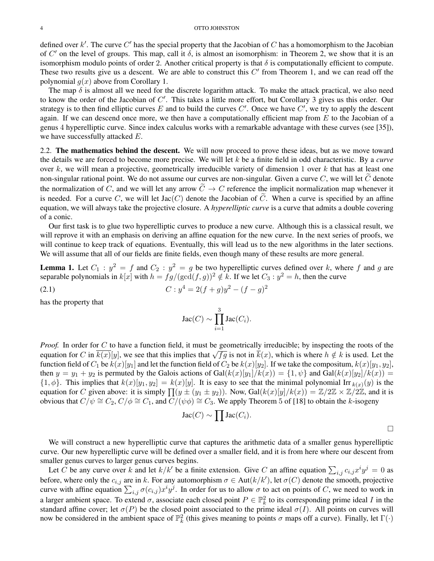defined over  $k'$ . The curve  $C'$  has the special property that the Jacobian of  $C$  has a homomorphism to the Jacobian of  $C'$  on the level of groups. This map, call it  $\delta$ , is almost an isomorphism: in Theorem 2, we show that it is an isomorphism modulo points of order 2. Another critical property is that  $\delta$  is computationally efficient to compute. These two results give us a descent. We are able to construct this  $C'$  from Theorem 1, and we can read off the polynomial  $g(x)$  above from Corollary 1.

The map  $\delta$  is almost all we need for the discrete logarithm attack. To make the attack practical, we also need to know the order of the Jacobian of  $C'$ . This takes a little more effort, but Corollary 3 gives us this order. Our strategy is to then find elliptic curves E and to build the curves  $C'$ . Once we have  $C'$ , we try to apply the descent again. If we can descend once more, we then have a computationally efficient map from  $E$  to the Jacobian of a genus 4 hyperelliptic curve. Since index calculus works with a remarkable advantage with these curves (see [35]), we have successfully attacked E.

2.2. The mathematics behind the descent. We will now proceed to prove these ideas, but as we move toward the details we are forced to become more precise. We will let k be a finite field in odd characteristic. By a *curve* over  $k$ , we will mean a projective, geometrically irreducible variety of dimension 1 over  $k$  that has at least one non-singular rational point. We do not assume our curves are non-singular. Given a curve  $C$ , we will let  $C$  denote the normalization of C, and we will let any arrow  $\tilde{C} \to C$  reference the implicit normalization map whenever it is needed. For a curve C, we will let  $Jac(C)$  denote the Jacobian of  $\tilde{C}$ . When a curve is specified by an affine equation, we will always take the projective closure. A *hyperelliptic curve* is a curve that admits a double covering of a conic.

Our first task is to glue two hyperelliptic curves to produce a new curve. Although this is a classical result, we will reprove it with an emphasis on deriving an affine equation for the new curve. In the next series of proofs, we will continue to keep track of equations. Eventually, this will lead us to the new algorithms in the later sections. We will assume that all of our fields are finite fields, even though many of these results are more general.

**Lemma 1.** Let  $C_1$ :  $y^2 = f$  and  $C_2$ :  $y^2 = g$  be two hyperelliptic curves defined over k, where f and g are separable polynomials in  $k[x]$  with  $h = fg/(\gcd(f, g))^2 \notin k$ . If we let  $C_3 : y^2 = h$ , then the curve

2

(2.1) 
$$
C: y^4 = 2(f+g)y^2 - (f-g)
$$

has the property that

$$
\operatorname{Jac}(C) \sim \prod_{i=1}^3 \operatorname{Jac}(C_i).
$$

*Proof.* In order for C to have a function field, it must be geometrically irreducible; by inspecting the roots of the equation for C in  $\overline{k(x)}[y]$ , we see that this implies that  $\sqrt{fg}$  is not in  $\overline{k(x)}$ , which is where  $h \notin k$  is used. Let the function field of  $C_1$  be  $k(x)[y_1]$  and let the function field of  $C_2$  be  $k(x)[y_2]$ . If we take the compositum,  $k(x)[y_1, y_2]$ , then  $y = y_1 + y_2$  is permuted by the Galois actions of  $Gal(k(x)[y_1]/k(x)) = \{1, \psi\}$  and  $Gal(k(x)[y_2]/k(x)) =$  $\{1,\phi\}$ . This implies that  $k(x)[y_1,y_2] = k(x)[y]$ . It is easy to see that the minimal polynomial Irr  $k(x)(y)$  is the equation for C given above: it is simply  $\prod(y \pm (y_1 \pm y_2))$ . Now,  $Gal(k(x)[y]/k(x)) = \mathbb{Z}/2\mathbb{Z} \times \mathbb{Z}/2\mathbb{Z}$ , and it is obvious that  $C/\psi \cong C_2$ ,  $C/\phi \cong C_1$ , and  $C/(\psi \phi) \cong C_3$ . We apply Theorem 5 of [18] to obtain the k-isogeny

$$
Jac(C) \sim \prod Jac(C_i).
$$

 $\Box$ 

We will construct a new hyperelliptic curve that captures the arithmetic data of a smaller genus hyperelliptic curve. Our new hyperelliptic curve will be defined over a smaller field, and it is from here where our descent from smaller genus curves to larger genus curves begins.

Let C be any curve over k and let  $k/k'$  be a finite extension. Give C an affine equation  $\sum_{i,j} c_{i,j} x^i y^j = 0$  as before, where only the  $c_{i,j}$  are in k. For any automorphism  $\sigma \in Aut(k/k')$ , let  $\sigma(C)$  denote the smooth, projective curve with affine equation  $\sum_{i,j} \sigma(c_{i,j}) x^i y^j$ . In order for us to allow  $\sigma$  to act on points of C, we need to work in a larger ambient space. To extend  $\sigma$ , associate each closed point  $P \in \mathbb{P}^2_k$  to its corresponding prime ideal I in the standard affine cover; let  $\sigma(P)$  be the closed point associated to the prime ideal  $\sigma(I)$ . All points on curves will now be considered in the ambient space of  $\mathbb{P}_k^2$  (this gives meaning to points  $\sigma$  maps off a curve). Finally, let  $\Gamma(\cdot)$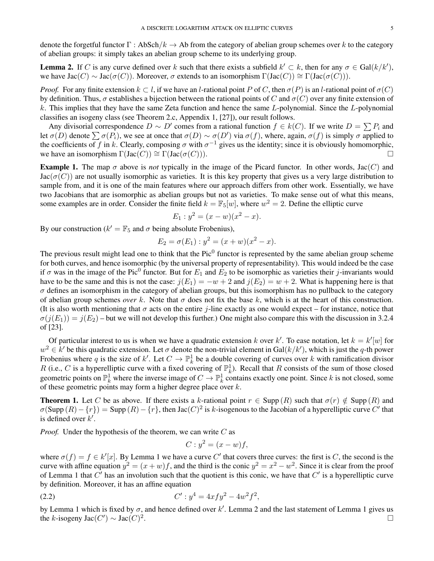denote the forgetful functor  $\Gamma$ : AbSch/ $k \to Ab$  from the category of abelian group schemes over k to the category of abelian groups: it simply takes an abelian group scheme to its underlying group.

**Lemma 2.** If C is any curve defined over k such that there exists a subfield  $k' \subset k$ , then for any  $\sigma \in \text{Gal}(k/k')$ , we have  $Jac(G) \sim Jac(\sigma(C))$ . Moreover,  $\sigma$  extends to an isomorphism  $\Gamma(Jac(C)) \cong \Gamma(Jac(\sigma(C)))$ .

*Proof.* For any finite extension  $k \subset l$ , if we have an l-rational point P of C, then  $\sigma(P)$  is an l-rational point of  $\sigma(C)$ by definition. Thus,  $\sigma$  establishes a bijection between the rational points of C and  $\sigma(C)$  over any finite extension of k. This implies that they have the same Zeta function and hence the same L-polynomial. Since the L-polynomial classifies an isogeny class (see Theorem 2.c, Appendix 1, [27]), our result follows.

Any divisorial correspondence  $D \sim D'$  comes from a rational function  $f \in k(C)$ . If we write  $D = \sum P_i$  and let  $\sigma(D)$  denote  $\sum \sigma(P_i)$ , we see at once that  $\sigma(D) \sim \sigma(D')$  via  $\sigma(f)$ , where, again,  $\sigma(f)$  is simply  $\sigma$  applied to the coefficients of f in k. Clearly, composing  $\sigma$  with  $\sigma^{-1}$  gives us the identity; since it is obviously homomorphic, we have an isomorphism  $\Gamma(\text{Jac}(C)) \cong \Gamma(\text{Jac}(\sigma(C))).$ 

**Example 1.** The map  $\sigma$  above is *not* typically in the image of the Picard functor. In other words, Jac(C) and  $Jac(\sigma(C))$  are not usually isomorphic as varieties. It is this key property that gives us a very large distribution to sample from, and it is one of the main features where our approach differs from other work. Essentially, we have two Jacobians that are isomorphic as abelian groups but not as varieties. To make sense out of what this means, some examples are in order. Consider the finite field  $k = \mathbb{F}_5[w]$ , where  $w^2 = 2$ . Define the elliptic curve

$$
E_1: y^2 = (x - w)(x^2 - x).
$$

By our construction ( $k' = \mathbb{F}_5$  and  $\sigma$  being absolute Frobenius),

$$
E_2 = \sigma(E_1) : y^2 = (x + w)(x^2 - x).
$$

The previous result might lead one to think that the Pic $<sup>0</sup>$  functor is represented by the same abelian group scheme</sup> for both curves, and hence isomorphic (by the universal property of representability). This would indeed be the case if  $\sigma$  was in the image of the Pic<sup>0</sup> functor. But for  $E_1$  and  $E_2$  to be isomorphic as varieties their j-invariants would have to be the same and this is not the case:  $j(E_1) = -w + 2$  and  $j(E_2) = w + 2$ . What is happening here is that  $\sigma$  defines an isomorphism in the category of abelian groups, but this isomorphism has no pullback to the category of abelian group schemes *over* k. Note that  $\sigma$  does not fix the base k, which is at the heart of this construction. (It is also worth mentioning that  $\sigma$  acts on the entire j-line exactly as one would expect – for instance, notice that  $\sigma(j(E_1)) = j(E_2)$  – but we will not develop this further.) One might also compare this with the discussion in 3.2.4 of [23].

Of particular interest to us is when we have a quadratic extension k over k'. To ease notation, let  $k = k'[w]$  for  $w^2 \in k'$  be this quadratic extension. Let  $\sigma$  denote the non-trivial element in Gal $(k/k')$ , which is just the q-th power Frobenius where q is the size of k'. Let  $C \to \mathbb{P}^1_k$  be a double covering of curves over k with ramification divisor R (i.e., C is a hyperelliptic curve with a fixed covering of  $\mathbb{P}^1_k$ ). Recall that R consists of the sum of those closed geometric points on  $\mathbb{P}^1_k$  where the inverse image of  $C \to \mathbb{P}^1_k$  contains exactly one point. Since k is not closed, some of these geometric points may form a higher degree place over  $k$ .

**Theorem 1.** Let C be as above. If there exists a k-rational point  $r \in \text{Supp}(R)$  such that  $\sigma(r) \notin \text{Supp}(R)$  and  $\sigma(\text{Supp}(R) - \{r\}) = \text{Supp}(R) - \{r\}$ , then Jac $(C)^2$  is k-isogenous to the Jacobian of a hyperelliptic curve  $C'$  that is defined over  $k'$ .

*Proof.* Under the hypothesis of the theorem, we can write C as

$$
C: y^2 = (x - w)f,
$$

where  $\sigma(f) = f \in k'[x]$ . By Lemma 1 we have a curve C' that covers three curves: the first is C, the second is the curve with affine equation  $y^2 = (x + w)f$ , and the third is the conic  $y^2 = x^2 - w^2$ . Since it is clear from the proof of Lemma 1 that  $C'$  has an involution such that the quotient is this conic, we have that  $C'$  is a hyperelliptic curve by definition. Moreover, it has an affine equation

$$
(2.2) \tC': y^4 = 4xfy^2 - 4w^2f^2,
$$

by Lemma 1 which is fixed by  $\sigma$ , and hence defined over k'. Lemma 2 and the last statement of Lemma 1 gives us the k-isogeny Jac $(C') \sim \text{Jac}(C)^2$ . В последните последните последните последните последните последните последните последните последните последн<br>В 1990 година от селото на селото на селото на селото на селото на селото на селото на селото на селото на сел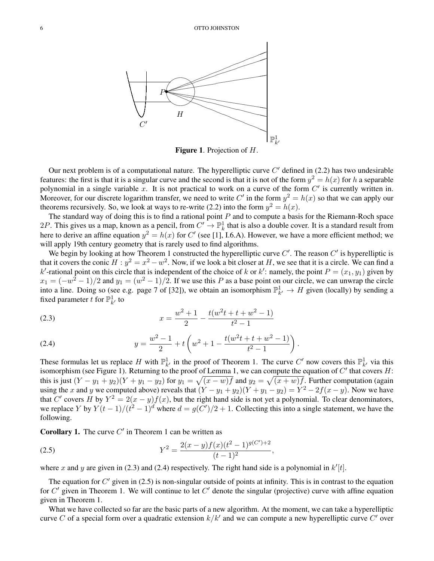

Figure 1. Projection of H.

Our next problem is of a computational nature. The hyperelliptic curve  $C'$  defined in (2.2) has two undesirable features: the first is that it is a singular curve and the second is that it is not of the form  $y^2 = h(x)$  for h a separable polynomial in a single variable  $x$ . It is not practical to work on a curve of the form  $C'$  is currently written in. Moreover, for our discrete logarithm transfer, we need to write C' in the form  $y^2 = h(x)$  so that we can apply our theorems recursively. So, we look at ways to re-write (2.2) into the form  $y^2 = h(x)$ .

The standard way of doing this is to find a rational point  $P$  and to compute a basis for the Riemann-Roch space 2P. This gives us a map, known as a pencil, from  $C' \to \mathbb{P}^1_k$  that is also a double cover. It is a standard result from here to derive an affine equation  $y^2 = h(x)$  for C' (see [1], I.6.A). However, we have a more efficient method; we will apply 19th century geometry that is rarely used to find algorithms.

We begin by looking at how Theorem 1 constructed the hyperelliptic curve  $C'$ . The reason  $C'$  is hyperelliptic is that it covers the conic  $H : y^2 = x^2 - w^2$ . Now, if we look a bit closer at H, we see that it is a circle. We can find a k'-rational point on this circle that is independent of the choice of k or k': namely, the point  $P = (x_1, y_1)$  given by  $x_1 = (-w^2 - 1)/2$  and  $y_1 = (w^2 - 1)/2$ . If we use this P as a base point on our circle, we can unwrap the circle into a line. Doing so (see e.g. page 7 of [32]), we obtain an isomorphism  $\mathbb{P}_{k'}^1 \to H$  given (locally) by sending a fixed parameter t for  $\mathbb{P}^1_{k'}$  to

(2.3) 
$$
x = \frac{w^2 + 1}{2} - \frac{t(w^2t + t + w^2 - 1)}{t^2 - 1}
$$

(2.4) 
$$
y = \frac{w^2 - 1}{2} + t \left( w^2 + 1 - \frac{t(w^2t + t + w^2 - 1)}{t^2 - 1} \right).
$$

These formulas let us replace H with  $\mathbb{P}^1_{k'}$  in the proof of Theorem 1. The curve C' now covers this  $\mathbb{P}^1_{k'}$  via this isomorphism (see Figure 1). Returning to the proof of Lemma 1, we can compute the equation of  $C'$  that covers  $H$ : this is just  $(Y - y_1 + y_2)(Y + y_1 - y_2)$  for  $y_1 = \sqrt{(x - w)f}$  and  $y_2 = \sqrt{(x + w)f}$ . Further computation (again using the x and y we computed above) reveals that  $(Y - y_1 + y_2)(Y + y_1 - y_2) = Y^2 - 2f(x - y)$ . Now we have that C' covers H by  $Y^2 = 2(x - y)f(x)$ , but the right hand side is not yet a polynomial. To clear denominators, we replace Y by  $Y(t-1)/(t^2-1)^d$  where  $d = g(C')/2 + 1$ . Collecting this into a single statement, we have the following.

**Corollary 1.** The curve  $C'$  in Theorem 1 can be written as

(2.5) 
$$
Y^{2} = \frac{2(x-y)f(x)(t^{2}-1)^{g(C')+2}}{(t-1)^{2}},
$$

where x and y are given in (2.3) and (2.4) respectively. The right hand side is a polynomial in  $k'[t]$ .

The equation for  $C'$  given in (2.5) is non-singular outside of points at infinity. This is in contrast to the equation for  $C'$  given in Theorem 1. We will continue to let  $C'$  denote the singular (projective) curve with affine equation given in Theorem 1.

What we have collected so far are the basic parts of a new algorithm. At the moment, we can take a hyperelliptic curve C of a special form over a quadratic extension  $k/k'$  and we can compute a new hyperelliptic curve C' over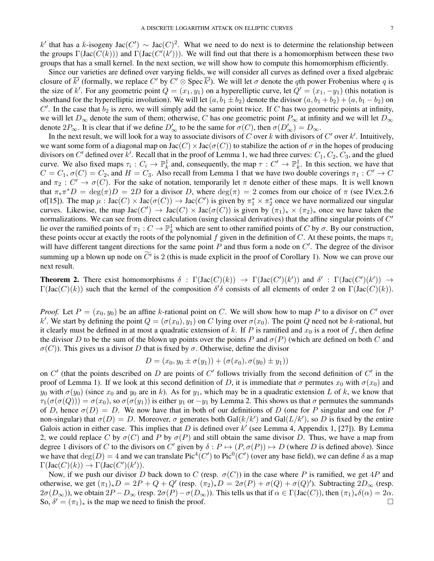k' that has a k-isogeny Jac $(C') \sim \text{Jac}(C)^2$ . What we need to do next is to determine the relationship between the groups  $\Gamma(\text{Jac}(C(k)))$  and  $\Gamma(\text{Jac}(C'(k')))$ . We will find out that there is a homomorphism between these two groups that has a small kernel. In the next section, we will show how to compute this homomorphism efficiently.

Since our varieties are defined over varying fields, we will consider all curves as defined over a fixed algebraic closure of  $\overline{k'}$  (formally, we replace C' by C'  $\otimes$  Spec  $\overline{k'}$ ). We will let  $\sigma$  denote the qth power Frobenius where q is the size of k'. For any geometric point  $Q = (x_1, y_1)$  on a hyperelliptic curve, let  $Q' = (x_1, -y_1)$  (this notation is shorthand for the hyperelliptic involution). We will let  $(a, b_1 \pm b_2)$  denote the divisor  $(a, b_1 + b_2) + (a, b_1 - b_2)$  on  $C'$ . In the case that  $b_2$  is zero, we will simply add the same point twice. If C has two geometric points at infinity, we will let  $D_{\infty}$  denote the sum of them; otherwise, C has one geometric point  $P_{\infty}$  at infinity and we will let  $D_{\infty}$ denote  $2P_{\infty}$ . It is clear that if we define  $D'_{\infty}$  to be the same for  $\sigma(C)$ , then  $\sigma(D'_{\infty}) = D_{\infty}$ .

In the next result, we will look for a way to associate divisors of C over k with divisors of C' over k'. Intuitively, we want some form of a diagonal map on  $Jac(C) \times Jac(\sigma(C))$  to stabilize the action of  $\sigma$  in the hopes of producing divisors on C' defined over k'. Recall that in the proof of Lemma 1, we had three curves:  $C_1$ ,  $C_2$ ,  $C_3$ , and the glued curve. We also fixed maps  $\tau_i: C_i \to \mathbb{P}^1_k$  and, consequently, the map  $\tau: C' \to \mathbb{P}^1_k$ . In this section, we have that  $C = C_1$ ,  $\sigma(C) = C_2$ , and  $H = C_3$ . Also recall from Lemma 1 that we have two double coverings  $\pi_1 : C' \to C$ and  $\pi_2: C' \to \sigma(C)$ . For the sake of notation, temporarily let  $\pi$  denote either of these maps. It is well known that  $\pi_* \pi^* D = \deg(\pi) D = 2D$  for a divisor D, where  $\deg(\pi) = 2$  comes from our choice of  $\pi$  (see IV.ex.2.6) of[15]). The map  $\mu$ :  $Jac(C) \times Jac(\sigma(C)) \to Jac(C')$  is given by  $\pi_1^* \times \pi_2^*$  once we have normalized our singular curves. Likewise, the map Jac $(C') \to \text{Jac}(C) \times \text{Jac}(\sigma(C))$  is given by  $(\pi_1)_* \times (\pi_2)_*$  once we have taken the normalizations. We can see from direct calculation (using classical derivatives) that the affine singular points of  $C'$ lie over the ramified points of  $\pi_1: C \to \mathbb{P}^1_k$  which are sent to other ramified points of C by  $\sigma$ . By our construction, these points occur at exactly the roots of the polynomial f given in the definition of C. At these points, the maps  $\pi_i$ will have different tangent directions for the same point  $P$  and thus form a node on  $C'$ . The degree of the divisor summing up a blown up node on  $C<sup>t</sup>$  is 2 (this is made explicit in the proof of Corollary 1). Now we can prove our next result.

**Theorem 2.** There exist homomorphisms  $\delta : \Gamma(\text{Jac}(C)(k)) \to \Gamma(\text{Jac}(C')(k'))$  and  $\delta' : \Gamma(\text{Jac}(C')(k')) \to \Gamma(\text{Jac}(C')(k'))$  $\Gamma(\text{Jac}(C)(k))$  such that the kernel of the composition  $\delta' \delta$  consists of all elements of order 2 on  $\Gamma(\text{Jac}(C)(k))$ .

*Proof.* Let  $P = (x_0, y_0)$  be an affine k-rational point on C. We will show how to map P to a divisor on C' over k'. We start by defining the point  $Q = (\sigma(x_0), y_1)$  on C lying over  $\sigma(x_0)$ . The point Q need not be k-rational, but it clearly must be defined in at most a quadratic extension of k. If P is ramified and  $x_0$  is a root of f, then define the divisor D to be the sum of the blown up points over the points P and  $\sigma(P)$  (which are defined on both C and  $\sigma(C)$ ). This gives us a divisor D that is fixed by  $\sigma$ . Otherwise, define the divisor

$$
D = (x_0, y_0 \pm \sigma(y_1)) + (\sigma(x_0), \sigma(y_0) \pm y_1))
$$

on  $C'$  (that the points described on  $D$  are points of  $C'$  follows trivially from the second definition of  $C'$  in the proof of Lemma 1). If we look at this second definition of D, it is immediate that  $\sigma$  permutes  $x_0$  with  $\sigma(x_0)$  and  $y_0$  with  $\sigma(y_0)$  (since  $x_0$  and  $y_0$  are in k). As for  $y_1$ , which may be in a quadratic extension L of k, we know that  $\tau_1(\sigma(\sigma(Q))) = \sigma(x_0)$ , so  $\sigma(\sigma(y_1))$  is either  $y_1$  or  $-y_1$  by Lemma 2. This shows us that  $\sigma$  permutes the summands of D, hence  $\sigma(D) = D$ . We now have that in both of our definitions of D (one for P singular and one for P non-singular) that  $\sigma(D) = D$ . Moreover,  $\sigma$  generates both Gal $(k/k')$  and Gal $(L/k')$ , so D is fixed by the entire Galois action in either case. This implies that D is defined over  $k'$  (see Lemma 4, Appendix 1, [27]). By Lemma 2, we could replace C by  $\sigma(C)$  and P by  $\sigma(P)$  and still obtain the same divisor D. Thus, we have a map from degree 1 divisors of C to the divisors on C' given by  $\delta : P \mapsto (P, \sigma(P)) \mapsto D$  (where D is defined above). Since we have that  $deg(D) = 4$  and we can translate Pic<sup>4</sup>(C') to Pic<sup>0</sup>(C') (over any base field), we can define  $\delta$  as a map  $\Gamma(\operatorname{Jac}(C)(k)) \to \Gamma(\operatorname{Jac}(C')(k')).$ 

Now, if we push our divisor D back down to C (resp.  $\sigma(C)$ ) in the case where P is ramified, we get 4P and otherwise, we get  $(\pi_1)_*D = 2P + Q + Q'$  (resp.  $(\pi_2)_*D = 2\sigma(P) + \sigma(Q) + \sigma(Q)'$ ). Subtracting  $2D_{\infty}$  (resp.  $2\sigma(D_{\infty})$ ), we obtain  $2P - D_{\infty}$  (resp.  $2\sigma(P) - \sigma(D_{\infty})$ ). This tells us that if  $\alpha \in \Gamma(\text{Jac}(C))$ , then  $(\pi_1)_*\delta(\alpha) = 2\alpha$ . So,  $\delta' = (\pi_1)_*$  is the map we need to finish the proof.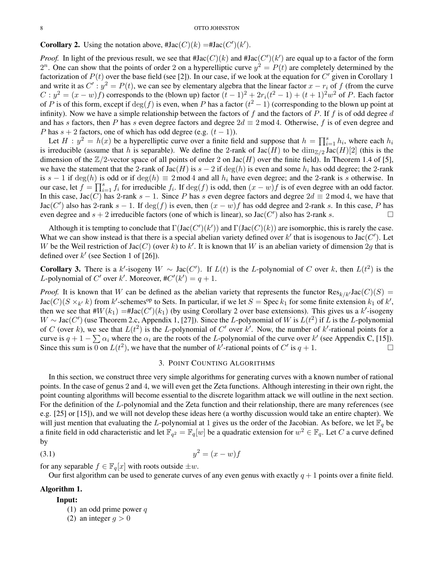# **Corollary 2.** Using the notation above,  $\# \text{Jac}(C)(k) = \# \text{Jac}(C')(k')$ .

*Proof.* In light of the previous result, we see that  $\#$ Jac $(C)(k)$  and  $\#$ Jac $(C')(k')$  are equal up to a factor of the form  $2^n$ . One can show that the points of order 2 on a hyperelliptic curve  $y^2 = P(t)$  are completely determined by the factorization of  $P(t)$  over the base field (see [2]). In our case, if we look at the equation for  $C'$  given in Corollary 1 and write it as  $C': y^2 = P(t)$ , we can see by elementary algebra that the linear factor  $x - r_i$  of f (from the curve  $C: y^2 = (x - w)f$ ) corresponds to the (blown up) factor  $(t - 1)^2 + 2r_i(t^2 - 1) + (t + 1)^2w^2$  of P. Each factor of P is of this form, except if  $\deg(f)$  is even, when P has a factor  $(t^2 - 1)$  (corresponding to the blown up point at infinity). Now we have a simple relationship between the factors of f and the factors of P. If f is of odd degree  $d$ and has s factors, then P has s even degree factors and degree  $2d \equiv 2 \mod 4$ . Otherwise, f is of even degree and P has  $s + 2$  factors, one of which has odd degree (e.g.  $(t - 1)$ ).

Let  $H : y^2 = h(x)$  be a hyperelliptic curve over a finite field and suppose that  $h = \prod_{i=1}^s h_i$ , where each  $h_i$ is irreducible (assume that h is separable). We define the 2-rank of  $Jac(H)$  to be  $\dim_{\mathbb{Z}/2} Jac(H)[2]$  (this is the dimension of the  $\mathbb{Z}/2$ -vector space of all points of order 2 on Jac(H) over the finite field). In Theorem 1.4 of [5], we have the statement that the 2-rank of Jac(H) is  $s - 2$  if  $deg(h)$  is even and some  $h_i$  has odd degree; the 2-rank is  $s - 1$  if  $deg(h)$  is odd or if  $deg(h) \equiv 2 \mod 4$  and all  $h_i$  have even degree; and the 2-rank is s otherwise. In our case, let  $f = \prod_{i=1}^{s} f_i$  for irreducible  $f_i$ . If  $deg(f)$  is odd, then  $(x - w)f$  is of even degree with an odd factor. In this case, Jac(C) has 2-rank s – 1. Since P has s even degree factors and degree  $2d \equiv 2 \mod 4$ , we have that Jac(C') also has 2-rank  $s - 1$ . If  $\deg(f)$  is even, then  $(x - w)f$  has odd degree and 2-rank s. In this case, P has even degree and  $s + 2$  irreducible factors (one of which is linear), so Jac(C') also has 2-rank s.

Although it is tempting to conclude that  $\Gamma(\text{Jac}(C')(k'))$  and  $\Gamma(\text{Jac}(C)(k))$  are isomorphic, this is rarely the case. What we can show instead is that there is a special abelian variety defined over k' that is isogenous to Jac( $C'$ ). Let W be the Weil restriction of Jac(C) (over k) to k'. It is known that W is an abelian variety of dimension  $2g$  that is defined over  $k'$  (see Section 1 of [26]).

**Corollary 3.** There is a k'-isogeny  $W \sim \text{Jac}(C')$ . If  $L(t)$  is the L-polynomial of C over k, then  $L(t^2)$  is the *L*-polynomial of C' over k'. Moreover,  $\#C'(k') = q + 1$ .

*Proof.* It is known that W can be defined as the abelian variety that represents the functor  $\text{Res}_{k/k'}\text{Jac}(C)(S)$  =  $Jac(C)(S \times_{k'} k)$  from k'-schemes<sup>op</sup> to Sets. In particular, if we let  $S = \text{Spec } k_1$  for some finite extension  $k_1$  of  $k'$ , then we see that  $#W(k_1) = #Jac(C')(k_1)$  (by using Corollary 2 over base extensions). This gives us a k'-isogeny W ~ Jac(C') (use Theorem 2.c, Appendix 1, [27]). Since the L-polynomial of W is  $L(t^2)$  if L is the L-polynomial of C (over k), we see that  $L(t^2)$  is the L-polynomial of C' over k'. Now, the number of k'-rational points for a curve is  $q + 1 - \sum \alpha_i$  where the  $\alpha_i$  are the roots of the L-polynomial of the curve over k' (see Appendix C, [15]). Since this sum is  $\overline{0}$  on  $L(t^2)$ , we have that the number of  $k^j$ -rational points of C' is  $q + 1$ .

## 3. POINT COUNTING ALGORITHMS

In this section, we construct three very simple algorithms for generating curves with a known number of rational points. In the case of genus 2 and 4, we will even get the Zeta functions. Although interesting in their own right, the point counting algorithms will become essential to the discrete logarithm attack we will outline in the next section. For the definition of the L-polynomial and the Zeta function and their relationship, there are many references (see e.g. [25] or [15]), and we will not develop these ideas here (a worthy discussion would take an entire chapter). We will just mention that evaluating the L-polynomial at 1 gives us the order of the Jacobian. As before, we let  $\mathbb{F}_q$  be a finite field in odd characteristic and let  $\mathbb{F}_{q^2} = \mathbb{F}_q[w]$  be a quadratic extension for  $w^2 \in \mathbb{F}_q$ . Let C a curve defined by

$$
(3.1) \t\t y^2 = (x - w)f
$$

for any separable  $f \in \mathbb{F}_q[x]$  with roots outside  $\pm w$ .

Our first algorithm can be used to generate curves of any even genus with exactly  $q + 1$  points over a finite field.

#### Algorithm 1.

### Input:

- (1) an odd prime power  $q$
- (2) an integer  $q > 0$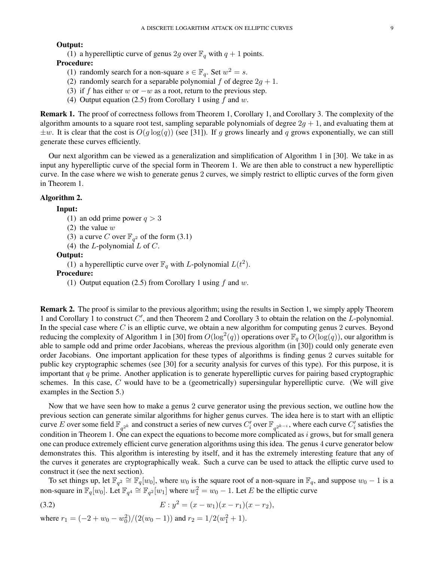## Output:

(1) a hyperelliptic curve of genus 2g over  $\mathbb{F}_q$  with  $q + 1$  points.

# Procedure:

- (1) randomly search for a non-square  $s \in \mathbb{F}_q$ . Set  $w^2 = s$ .
- (2) randomly search for a separable polynomial f of degree  $2g + 1$ .
- (3) if f has either w or  $-w$  as a root, return to the previous step.
- (4) Output equation (2.5) from Corollary 1 using  $f$  and  $w$ .

Remark 1. The proof of correctness follows from Theorem 1, Corollary 1, and Corollary 3. The complexity of the algorithm amounts to a square root test, sampling separable polynomials of degree  $2g + 1$ , and evaluating them at  $\pm w$ . It is clear that the cost is  $O(g \log(q))$  (see [31]). If g grows linearly and q grows exponentially, we can still generate these curves efficiently.

Our next algorithm can be viewed as a generalization and simplification of Algorithm 1 in [30]. We take in as input any hyperelliptic curve of the special form in Theorem 1. We are then able to construct a new hyperelliptic curve. In the case where we wish to generate genus 2 curves, we simply restrict to elliptic curves of the form given in Theorem 1.

### Algorithm 2.

#### Input:

```
(1) an odd prime power q > 3
```
- (2) the value  $w$
- (3) a curve C over  $\mathbb{F}_{q^2}$  of the form (3.1)
- (4) the *L*-polynomial  $L$  of  $C$ .

#### Output:

(1) a hyperelliptic curve over  $\mathbb{F}_q$  with *L*-polynomial  $L(t^2)$ .

## Procedure:

(1) Output equation (2.5) from Corollary 1 using  $f$  and  $w$ .

Remark 2. The proof is similar to the previous algorithm; using the results in Section 1, we simply apply Theorem 1 and Corollary 1 to construct  $C'$ , and then Theorem 2 and Corollary 3 to obtain the relation on the  $L$ -polynomial. In the special case where  $C$  is an elliptic curve, we obtain a new algorithm for computing genus 2 curves. Beyond reducing the complexity of Algorithm 1 in [30] from  $O(\log^2(q))$  operations over  $\mathbb{F}_q$  to  $O(\log(q))$ , our algorithm is able to sample odd and prime order Jacobians, whereas the previous algorithm (in [30]) could only generate even order Jacobians. One important application for these types of algorithms is finding genus 2 curves suitable for public key cryptographic schemes (see [30] for a security analysis for curves of this type). For this purpose, it is important that  $q$  be prime. Another application is to generate hyperelliptic curves for pairing based cryptographic schemes. In this case, C would have to be a (geometrically) supersingular hyperelliptic curve. (We will give examples in the Section 5.)

Now that we have seen how to make a genus 2 curve generator using the previous section, we outline how the previous section can generate similar algorithms for higher genus curves. The idea here is to start with an elliptic curve E over some field  $\mathbb{F}_{q^{2k}}$  and construct a series of new curves  $C'_i$  over  $\mathbb{F}_{q^{2k-i}}$ , where each curve  $C'_i$  satisfies the condition in Theorem 1. One can expect the equations to become more complicated as  $i$  grows, but for small genera one can produce extremely efficient curve generation algorithms using this idea. The genus 4 curve generator below demonstrates this. This algorithm is interesting by itself, and it has the extremely interesting feature that any of the curves it generates are cryptographically weak. Such a curve can be used to attack the elliptic curve used to construct it (see the next section).

To set things up, let  $\mathbb{F}_{q^2} \cong \mathbb{F}_q[w_0]$ , where  $w_0$  is the square root of a non-square in  $\mathbb{F}_q$ , and suppose  $w_0 - 1$  is a non-square in  $\mathbb{F}_q[w_0]$ . Let  $\mathbb{F}_{q^4} \cong \mathbb{F}_{q^2}[w_1]$  where  $w_1^2 = w_0 - 1$ . Let E be the elliptic curve

(3.2) 
$$
E: y^2 = (x - w_1)(x - r_1)(x - r_2),
$$

where 
$$
r_1 = (-2 + w_0 - w_0^2)/(2(w_0 - 1))
$$
 and  $r_2 = 1/2(w_1^2 + 1)$ .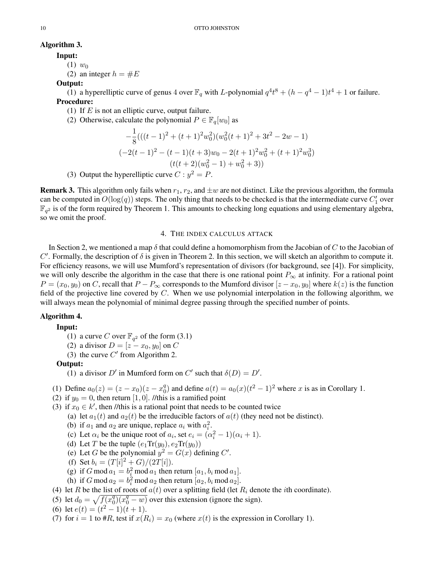# Algorithm 3.

Input:

- $(1)$   $w_0$
- (2) an integer  $h = \#E$

# Output:

(1) a hyperelliptic curve of genus 4 over  $\mathbb{F}_q$  with *L*-polynomial  $q^4t^8 + (h - q^4 - 1)t^4 + 1$  or failure. Procedure:

- (1) If  $E$  is not an elliptic curve, output failure.
- (2) Otherwise, calculate the polynomial  $P \in \mathbb{F}_q[w_0]$  as

$$
-\frac{1}{8}(((t-1)^2 + (t+1)^2 w_0^2)(w_0^2 (t+1)^2 + 3t^2 - 2w - 1)
$$
  

$$
(-2(t-1)^2 - (t-1)(t+3)w_0 - 2(t+1)^2 w_0^2 + (t+1)^2 w_0^3)
$$
  

$$
(t(t+2)(w_0^2 - 1) + w_0^2 + 3))
$$

(3) Output the hyperelliptic curve  $C: y^2 = P$ .

**Remark 3.** This algorithm only fails when  $r_1$ ,  $r_2$ , and  $\pm w$  are not distinct. Like the previous algorithm, the formula can be computed in  $O(\log(q))$  steps. The only thing that needs to be checked is that the intermediate curve  $C'_1$  over  $\mathbb{F}_{q^2}$  is of the form required by Theorem 1. This amounts to checking long equations and using elementary algebra, so we omit the proof.

### 4. THE INDEX CALCULUS ATTACK

In Section 2, we mentioned a map  $\delta$  that could define a homomorphism from the Jacobian of C to the Jacobian of C'. Formally, the description of  $\delta$  is given in Theorem 2. In this section, we will sketch an algorithm to compute it. For efficiency reasons, we will use Mumford's representation of divisors (for background, see [4]). For simplicity, we will only describe the algorithm in the case that there is one rational point  $P_{\infty}$  at infinity. For a rational point  $P = (x_0, y_0)$  on C, recall that  $P - P_{\infty}$  corresponds to the Mumford divisor  $[z - x_0, y_0]$  where  $k(z)$  is the function field of the projective line covered by  $C$ . When we use polynomial interpolation in the following algorithm, we will always mean the polynomial of minimal degree passing through the specified number of points.

# Algorithm 4.

# Input:

(1) a curve C over  $\mathbb{F}_{q^2}$  of the form (3.1)

(2) a divisor  $D = [z - x_0, y_0]$  on C

(3) the curve  $C'$  from Algorithm 2.

# Output:

(1) a divisor D' in Mumford form on C' such that  $\delta(D) = D'$ .

(1) Define  $a_0(z) = (z - x_0)(z - x_0^q)$  $a_0^q$ ) and define  $a(t) = a_0(x)(t^2 - 1)^2$  where x is as in Corollary 1.

(2) if  $y_0 = 0$ , then return [1, 0]. //this is a ramified point

(3) if  $x_0 \in k'$ , then //this is a rational point that needs to be counted twice

- (a) let  $a_1(t)$  and  $a_2(t)$  be the irreducible factors of  $a(t)$  (they need not be distinct).
- (b) if  $a_1$  and  $a_2$  are unique, replace  $a_i$  with  $a_i^2$ .
- (c) Let  $\alpha_i$  be the unique root of  $a_i$ , set  $e_i = (\alpha_i^2 1)(\alpha_i + 1)$ .
- (d) Let T be the tuple  $(e_1 \text{Tr}(y_0), e_2 \text{Tr}(y_0))$
- (e) Let G be the polynomial  $y^2 = G(x)$  defining C'.
- (f) Set  $b_i = (T[i]^2 + G)/(2T[i])$ .
- (g) if G mod  $a_1 = b_i^2 \mod a_1$  then return  $[a_1, b_i \mod a_1]$ .
- (h) if G mod  $a_2 = b_i^2 \text{ mod } a_2$  then return  $[a_2, b_i \text{ mod } a_2]$ .
- (4) let R be the list of roots of  $a(t)$  over a splitting field (let  $R_i$  denote the *i*th coordinate).
- (5) let  $d_0 = \sqrt{f(x_0^q)}$  $\sqrt[q]{\frac{q}{q(0-w)}}$  over this extension (ignore the sign).

(6) let 
$$
e(t) = (t^2 - 1)(t + 1)
$$
.

(7) for  $i = 1$  to #R, test if  $x(R_i) = x_0$  (where  $x(t)$  is the expression in Corollary 1).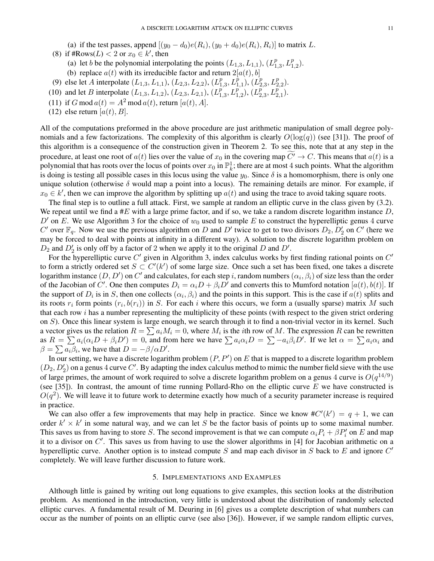(a) if the test passes, append  $[(y_0 - d_0)e(R_i), (y_0 + d_0)e(R_i), R_i)]$  to matrix L.

- (8) if #Rows( $L$ ) < 2 or  $x_0 \in k'$ , then
	- (a) let b be the polynomial interpolating the points  $(L_{1,3}, L_{1,1}), (L_1^p)$  $_{1,3}^p, L_{1,2}^p$ ).
	- (b) replace  $a(t)$  with its irreducible factor and return  $2[a(t), b]$
- (9) else let A interpolate  $(L_{1,3}, L_{1,1}), (L_{2,3}, L_{2,2}), (L_1^p)$  $\binom{p}{1,3},L^{\dot{p}}_{1,1}),\, (L^{\dot{p}}_{2}$  $L^p_{2,3}, L^p_{2,2}$ ).
- (10) and let B interpolate  $(L_{1,3}, L_{1,2}), (L_{2,3}, L_{2,1}), (L_{1}^{\tilde{p}})$  $L^{p}_{1,3}, L^{p}_{1,2}), (L_{2}^{\overline{p}})$  $\bar{p}_{2,3}^{\bar{p}}, L_{2,1}^{\bar{p}^{\ast}}).$
- (11) if G mod  $a(t) = A^2 \mod a(t)$ , return  $[a(t), A]$ .
- (12) else return  $[a(t), B]$ .

All of the computations preformed in the above procedure are just arithmetic manipulation of small degree polynomials and a few factorizations. The complexity of this algorithm is clearly  $O(\log(q))$  (see [31]). The proof of this algorithm is a consequence of the construction given in Theorem 2. To see this, note that at any step in the procedure, at least one root of  $a(t)$  lies over the value of  $x_0$  in the covering map  $\widetilde{C} \to C$ . This means that  $a(t)$  is a polynomial that has roots over the locus of points over  $x_0$  in  $\mathbb{P}^1_k$ ; there are at most 4 such points. What the algorithm is doing is testing all possible cases in this locus using the value  $y_0$ . Since  $\delta$  is a homomorphism, there is only one unique solution (otherwise  $\delta$  would map a point into a locus). The remaining details are minor. For example, if  $x_0 \in k'$ , then we can improve the algorithm by splitting up  $a(t)$  and using the trace to avoid taking square roots.

The final step is to outline a full attack. First, we sample at random an elliptic curve in the class given by (3.2). We repeat until we find a #E with a large prime factor, and if so, we take a random discrete logarithm instance  $D$ , D' on E. We use Algorithm 3 for the choice of  $w_0$  used to sample E to construct the hyperelliptic genus 4 curve C' over  $\mathbb{F}_q$ . Now we use the previous algorithm on D and D' twice to get to two divisors  $D_2, D'_2$  on C' (here we may be forced to deal with points at infinity in a different way). A solution to the discrete logarithm problem on  $D_2$  and  $D'_2$  is only off by a factor of 2 when we apply it to the original D and D'.

For the hyperelliptic curve  $C'$  given in Algorithm 3, index calculus works by first finding rational points on  $C'$ to form a strictly ordered set  $S \subset C'(k')$  of some large size. Once such a set has been fixed, one takes a discrete logarithm instance  $(D, D')$  on  $C'$  and calculates, for each step  $i$ , random numbers  $(\alpha_i, \beta_i)$  of size less than the order of the Jacobian of C'. One then computes  $D_i = \alpha_i D + \beta_i D'$  and converts this to Mumford notation  $[a(t), b(t)]$ . If the support of  $D_i$  is in S, then one collects  $(\alpha_i, \beta_i)$  and the points in this support. This is the case if  $a(t)$  splits and its roots  $r_i$  form points  $(r_i, b(r_i))$  in S. For each i where this occurs, we form a (usually sparse) matrix M such that each row  $i$  has a number representing the multiplicity of these points (with respect to the given strict ordering on S). Once this linear system is large enough, we search through it to find a non-trivial vector in its kernel. Such a vector gives us the relation  $R = \sum a_i M_i = 0$ , where  $M_i$  is the *i*th row of M. The expression R can be rewritten as  $R = \sum a_i(\alpha_i D + \beta_i D') = 0$ , and from here we have  $\sum a_i \alpha_i D = \sum -a_i \beta_i D'$ . If we let  $\alpha = \sum a_i \alpha_i$  and  $\beta = \sum a_i \beta_i$ , we have that  $\dot{D} = -\beta/\alpha D'$ .

In our setting, we have a discrete logarithm problem  $(P, P')$  on E that is mapped to a discrete logarithm problem  $(D_2, D_2')$  on a genus 4 curve C'. By adapting the index calculus method to mimic the number field sieve with the use of large primes, the amount of work required to solve a discrete logarithm problem on a genus 4 curve is  $O(q^{14/9})$ (see [35]). In contrast, the amount of time running Pollard-Rho on the elliptic curve  $E$  we have constructed is  $O(q^2)$ . We will leave it to future work to determine exactly how much of a security parameter increase is required in practice.

We can also offer a few improvements that may help in practice. Since we know  $\#C'(k') = q + 1$ , we can order  $k' \times k'$  in some natural way, and we can let S be the factor basis of points up to some maximal number. This saves us from having to store S. The second improvement is that we can compute  $\alpha_i P_i + \beta P'_i$  on E and map it to a divisor on  $C'$ . This saves us from having to use the slower algorithms in [4] for Jacobian arithmetic on a hyperelliptic curve. Another option is to instead compute S and map each divisor in S back to E and ignore  $C'$ completely. We will leave further discussion to future work.

### 5. IMPLEMENTATIONS AND EXAMPLES

Although little is gained by writing out long equations to give examples, this section looks at the distribution problem. As mentioned in the introduction, very little is understood about the distribution of randomly selected elliptic curves. A fundamental result of M. Deuring in [6] gives us a complete description of what numbers can occur as the number of points on an elliptic curve (see also [36]). However, if we sample random elliptic curves,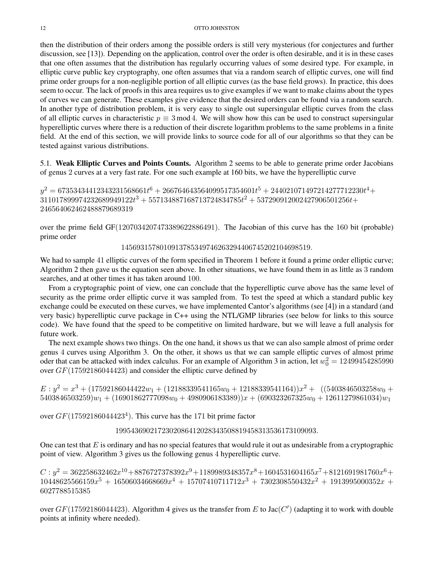then the distribution of their orders among the possible orders is still very mysterious (for conjectures and further discussion, see [13]). Depending on the application, control over the order is often desirable, and it is in these cases that one often assumes that the distribution has regularly occurring values of some desired type. For example, in elliptic curve public key cryptography, one often assumes that via a random search of elliptic curves, one will find prime order groups for a non-negligible portion of all elliptic curves (as the base field grows). In practice, this does seem to occur. The lack of proofs in this area requires us to give examples if we want to make claims about the types of curves we can generate. These examples give evidence that the desired orders can be found via a random search. In another type of distribution problem, it is very easy to single out supersingular elliptic curves from the class of all elliptic curves in characteristic  $p \equiv 3 \mod 4$ . We will show how this can be used to construct supersingular hyperelliptic curves where there is a reduction of their discrete logarithm problems to the same problems in a finite field. At the end of this section, we will provide links to source code for all of our algorithms so that they can be tested against various distributions.

5.1. Weak Elliptic Curves and Points Counts. Algorithm 2 seems to be able to generate prime order Jacobians of genus 2 curves at a very fast rate. For one such example at 160 bits, we have the hyperelliptic curve

 $y^2 = 67353434412343231568661t^6 + 266764643564099517354601t^5 + 244021071497214277712230t^4 +$  $311017899974232689949122t^3 + 557134887168713724834785t^2 + 537290912002427906501256t +$ 246564062462488879689319

over the prime field GF(1207034207473389622886491). The Jacobian of this curve has the 160 bit (probable) prime order

1456931578010913785349746263294406745202104698519.

We had to sample 41 elliptic curves of the form specified in Theorem 1 before it found a prime order elliptic curve; Algorithm 2 then gave us the equation seen above. In other situations, we have found them in as little as 3 random searches, and at other times it has taken around 100.

From a cryptographic point of view, one can conclude that the hyperelliptic curve above has the same level of security as the prime order elliptic curve it was sampled from. To test the speed at which a standard public key exchange could be executed on these curves, we have implemented Cantor's algorithms (see [4]) in a standard (and very basic) hyperelliptic curve package in C++ using the NTL/GMP libraries (see below for links to this source code). We have found that the speed to be competitive on limited hardware, but we will leave a full analysis for future work.

The next example shows two things. On the one hand, it shows us that we can also sample almost of prime order genus 4 curves using Algorithm 3. On the other, it shows us that we can sample elliptic curves of almost prime oder that can be attacked with index calculus. For an example of Algorithm 3 in action, let  $w_0^2 = 12499454285990$ over GF(17592186044423) and consider the elliptic curve defined by

 $E: y^2 = x^3 + (17592186044422w_1 + (12188339541165w_0 + 12188339541164))x^2 +$  ((5403846503258w<sub>0</sub> +  $5403846503259)w_1 + (16901862777098w_0 + 4980906183389))x + (690323267325w_0 + 12611279861034)w_1$ 

over  $GF(17592186044423<sup>4</sup>)$ . This curve has the 171 bit prime factor

1995436902172302086412028343508819458313536173109093.

One can test that  $E$  is ordinary and has no special features that would rule it out as undesirable from a cryptographic point of view. Algorithm 3 gives us the following genus 4 hyperelliptic curve.

 $C: y^2 = 362258632462 x^{10} + 8876727378392 x^9 + 1189989348357 x^8 + 1604531604165 x^7 + 8121691981760 x^6 +$  $10448625566159x^5 + 16506034668669x^4 + 15707410711712x^3 + 7302308550432x^2 + 1913995000352x +$ 6027788515385

over  $GF(17592186044423)$ . Algorithm 4 gives us the transfer from E to Jac(C') (adapting it to work with double points at infinity where needed).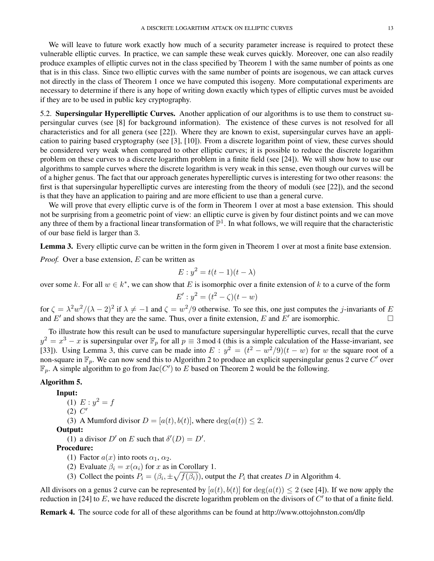We will leave to future work exactly how much of a security parameter increase is required to protect these vulnerable elliptic curves. In practice, we can sample these weak curves quickly. Moreover, one can also readily produce examples of elliptic curves not in the class specified by Theorem 1 with the same number of points as one that is in this class. Since two elliptic curves with the same number of points are isogenous, we can attack curves not directly in the class of Theorem 1 once we have computed this isogeny. More computational experiments are necessary to determine if there is any hope of writing down exactly which types of elliptic curves must be avoided if they are to be used in public key cryptography.

5.2. Supersingular Hyperelliptic Curves. Another application of our algorithms is to use them to construct supersingular curves (see [8] for background information). The existence of these curves is not resolved for all characteristics and for all genera (see [22]). Where they are known to exist, supersingular curves have an application to pairing based cryptography (see [3], [10]). From a discrete logarithm point of view, these curves should be considered very weak when compared to other elliptic curves; it is possible to reduce the discrete logarithm problem on these curves to a discrete logarithm problem in a finite field (see [24]). We will show how to use our algorithms to sample curves where the discrete logarithm is very weak in this sense, even though our curves will be of a higher genus. The fact that our approach generates hyperelliptic curves is interesting for two other reasons: the first is that supersingular hyperelliptic curves are interesting from the theory of moduli (see [22]), and the second is that they have an application to pairing and are more efficient to use than a general curve.

We will prove that every elliptic curve is of the form in Theorem 1 over at most a base extension. This should not be surprising from a geometric point of view: an elliptic curve is given by four distinct points and we can move any three of them by a fractional linear transformation of  $\mathbb{P}^1$ . In what follows, we will require that the characteristic of our base field is larger than 3.

Lemma 3. Every elliptic curve can be written in the form given in Theorem 1 over at most a finite base extension.

*Proof.* Over a base extension, E can be written as

$$
E: y^2 = t(t-1)(t-\lambda)
$$

over some k. For all  $w \in k^*$ , we can show that E is isomorphic over a finite extension of k to a curve of the form

$$
E' : y^2 = (t^2 - \zeta)(t - w)
$$

for  $\zeta = \lambda^2 w^2/(\lambda - 2)^2$  if  $\lambda \neq -1$  and  $\zeta = w^2/9$  otherwise. To see this, one just computes the *j*-invariants of E and E' and shows that they are the same. Thus, over a finite extension, E and E' are isomorphic.

To illustrate how this result can be used to manufacture supersingular hyperelliptic curves, recall that the curve  $y^2 = x^3 - x$  is supersingular over  $\mathbb{F}_p$  for all  $p \equiv 3 \mod 4$  (this is a simple calculation of the Hasse-invariant, see [33]). Using Lemma 3, this curve can be made into  $E : y^2 = (t^2 - w^2/9)(t - w)$  for w the square root of a non-square in  $\mathbb{F}_p$ . We can now send this to Algorithm 2 to produce an explicit supersingular genus 2 curve C' over  $\mathbb{F}_p$ . A simple algorithm to go from Jac(C') to E based on Theorem 2 would be the following.

## Algorithm 5.

Input:

(1)  $E: y^2 = f$ 

$$
(2) C'
$$

(3) A Mumford divisor  $D = [a(t), b(t)]$ , where  $deg(a(t)) \leq 2$ .

Output:

(1) a divisor  $D'$  on E such that  $\delta'(D) = D'$ .

Procedure:

- (1) Factor  $a(x)$  into roots  $\alpha_1, \alpha_2$ .
- (2) Evaluate  $\beta_i = x(\alpha_i)$  for x as in Corollary 1.
- (3) Collect the points  $P_i = (\beta_i, \pm \sqrt{f(\beta_i)})$ , output the  $P_i$  that creates D in Algorithm 4.

All divisors on a genus 2 curve can be represented by  $[a(t), b(t)]$  for  $deg(a(t)) \le 2$  (see [4]). If we now apply the reduction in [24] to E, we have reduced the discrete logarithm problem on the divisors of  $C'$  to that of a finite field.

Remark 4. The source code for all of these algorithms can be found at http://www.ottojohnston.com/dlp